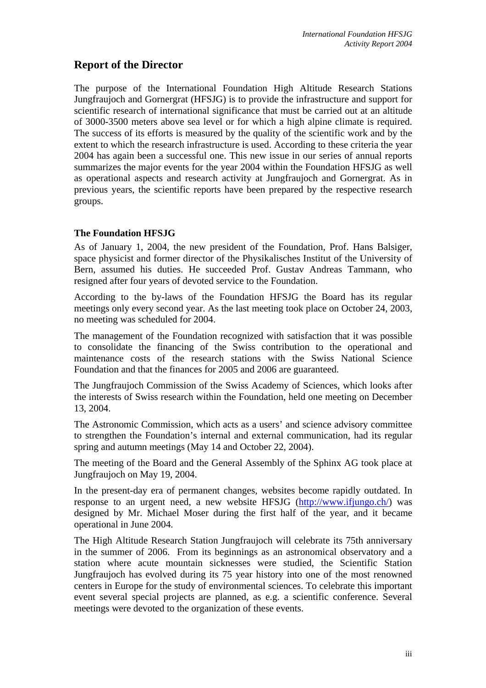# **Report of the Director**

The purpose of the International Foundation High Altitude Research Stations Jungfraujoch and Gornergrat (HFSJG) is to provide the infrastructure and support for scientific research of international significance that must be carried out at an altitude of 3000-3500 meters above sea level or for which a high alpine climate is required. The success of its efforts is measured by the quality of the scientific work and by the extent to which the research infrastructure is used. According to these criteria the year 2004 has again been a successful one. This new issue in our series of annual reports summarizes the major events for the year 2004 within the Foundation HFSJG as well as operational aspects and research activity at Jungfraujoch and Gornergrat. As in previous years, the scientific reports have been prepared by the respective research groups.

## **The Foundation HFSJG**

As of January 1, 2004, the new president of the Foundation, Prof. Hans Balsiger, space physicist and former director of the Physikalisches Institut of the University of Bern, assumed his duties. He succeeded Prof. Gustav Andreas Tammann, who resigned after four years of devoted service to the Foundation.

According to the by-laws of the Foundation HFSJG the Board has its regular meetings only every second year. As the last meeting took place on October 24, 2003, no meeting was scheduled for 2004.

The management of the Foundation recognized with satisfaction that it was possible to consolidate the financing of the Swiss contribution to the operational and maintenance costs of the research stations with the Swiss National Science Foundation and that the finances for 2005 and 2006 are guaranteed.

The Jungfraujoch Commission of the Swiss Academy of Sciences, which looks after the interests of Swiss research within the Foundation, held one meeting on December 13, 2004.

The Astronomic Commission, which acts as a users' and science advisory committee to strengthen the Foundation's internal and external communication, had its regular spring and autumn meetings (May 14 and October 22, 2004).

The meeting of the Board and the General Assembly of the Sphinx AG took place at Jungfraujoch on May 19, 2004.

In the present-day era of permanent changes, websites become rapidly outdated. In response to an urgent need, a new website HFSJG ([http://www.ifjungo.ch/\)](http://www.ifjungo.ch/) was designed by Mr. Michael Moser during the first half of the year, and it became operational in June 2004.

The High Altitude Research Station Jungfraujoch will celebrate its 75th anniversary in the summer of 2006. From its beginnings as an astronomical observatory and a station where acute mountain sicknesses were studied, the Scientific Station Jungfraujoch has evolved during its 75 year history into one of the most renowned centers in Europe for the study of environmental sciences. To celebrate this important event several special projects are planned, as e.g. a scientific conference. Several meetings were devoted to the organization of these events.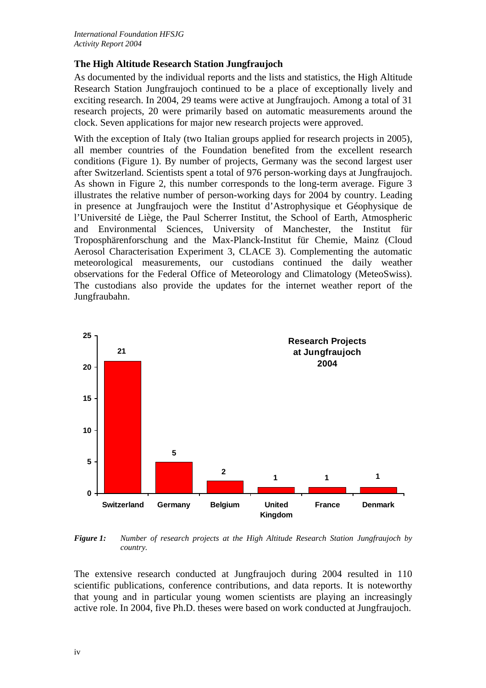### **The High Altitude Research Station Jungfraujoch**

As documented by the individual reports and the lists and statistics, the High Altitude Research Station Jungfraujoch continued to be a place of exceptionally lively and exciting research. In 2004, 29 teams were active at Jungfraujoch. Among a total of 31 research projects, 20 were primarily based on automatic measurements around the clock. Seven applications for major new research projects were approved.

With the exception of Italy (two Italian groups applied for research projects in 2005), all member countries of the Foundation benefited from the excellent research conditions (Figure 1). By number of projects, Germany was the second largest user after Switzerland. Scientists spent a total of 976 person-working days at Jungfraujoch. As shown in Figure 2, this number corresponds to the long-term average. Figure 3 illustrates the relative number of person-working days for 2004 by country. Leading in presence at Jungfraujoch were the Institut d'Astrophysique et Géophysique de l'Université de Liège, the Paul Scherrer Institut, the School of Earth, Atmospheric and Environmental Sciences, University of Manchester, the Institut für Troposphärenforschung and the Max-Planck-Institut für Chemie, Mainz (Cloud Aerosol Characterisation Experiment 3, CLACE 3). Complementing the automatic meteorological measurements, our custodians continued the daily weather observations for the Federal Office of Meteorology and Climatology (MeteoSwiss). The custodians also provide the updates for the internet weather report of the Jungfraubahn.



*Figure 1: Number of research projects at the High Altitude Research Station Jungfraujoch by country.* 

The extensive research conducted at Jungfraujoch during 2004 resulted in 110 scientific publications, conference contributions, and data reports. It is noteworthy that young and in particular young women scientists are playing an increasingly active role. In 2004, five Ph.D. theses were based on work conducted at Jungfraujoch.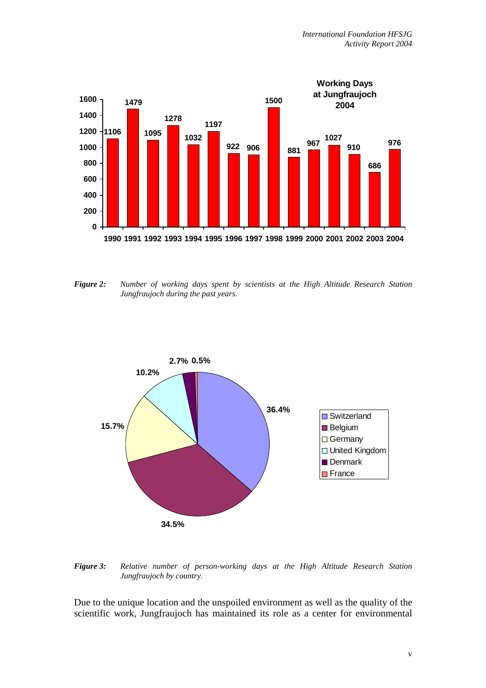

*Figure 2: Number of working days spent by scientists at the High Altitude Research Station Jungfraujoch during the past years.* 



*Figure 3: Relative number of person-working days at the High Altitude Research Station Jungfraujoch by country.* 

Due to the unique location and the unspoiled environment as well as the quality of the scientific work, Jungfraujoch has maintained its role as a center for environmental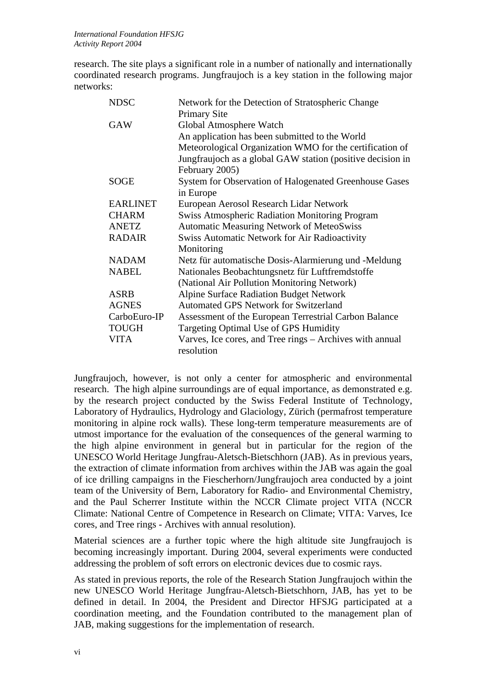research. The site plays a significant role in a number of nationally and internationally coordinated research programs. Jungfraujoch is a key station in the following major networks:

| <b>NDSC</b>     | Network for the Detection of Stratospheric Change          |
|-----------------|------------------------------------------------------------|
|                 | <b>Primary Site</b>                                        |
| <b>GAW</b>      | Global Atmosphere Watch                                    |
|                 | An application has been submitted to the World             |
|                 | Meteorological Organization WMO for the certification of   |
|                 | Jungfraujoch as a global GAW station (positive decision in |
|                 | February 2005)                                             |
| <b>SOGE</b>     | System for Observation of Halogenated Greenhouse Gases     |
|                 | in Europe                                                  |
| <b>EARLINET</b> | European Aerosol Research Lidar Network                    |
| <b>CHARM</b>    | <b>Swiss Atmospheric Radiation Monitoring Program</b>      |
| <b>ANETZ</b>    | <b>Automatic Measuring Network of MeteoSwiss</b>           |
| <b>RADAIR</b>   | <b>Swiss Automatic Network for Air Radioactivity</b>       |
|                 | Monitoring                                                 |
| <b>NADAM</b>    | Netz für automatische Dosis-Alarmierung und -Meldung       |
| <b>NABEL</b>    | Nationales Beobachtungsnetz für Luftfremdstoffe            |
|                 | (National Air Pollution Monitoring Network)                |
| <b>ASRB</b>     | <b>Alpine Surface Radiation Budget Network</b>             |
| <b>AGNES</b>    | <b>Automated GPS Network for Switzerland</b>               |
| CarboEuro-IP    | Assessment of the European Terrestrial Carbon Balance      |
| <b>TOUGH</b>    | Targeting Optimal Use of GPS Humidity                      |
| VITA            | Varves, Ice cores, and Tree rings – Archives with annual   |
|                 | resolution                                                 |

Jungfraujoch, however, is not only a center for atmospheric and environmental research. The high alpine surroundings are of equal importance, as demonstrated e.g. by the research project conducted by the Swiss Federal Institute of Technology, Laboratory of Hydraulics, Hydrology and Glaciology, Zürich (permafrost temperature monitoring in alpine rock walls). These long-term temperature measurements are of utmost importance for the evaluation of the consequences of the general warming to the high alpine environment in general but in particular for the region of the UNESCO World Heritage Jungfrau-Aletsch-Bietschhorn (JAB). As in previous years, the extraction of climate information from archives within the JAB was again the goal of ice drilling campaigns in the Fiescherhorn/Jungfraujoch area conducted by a joint team of the University of Bern, Laboratory for Radio- and Environmental Chemistry, and the Paul Scherrer Institute within the NCCR Climate project VITA (NCCR Climate: National Centre of Competence in Research on Climate; VITA: Varves, Ice cores, and Tree rings - Archives with annual resolution).

Material sciences are a further topic where the high altitude site Jungfraujoch is becoming increasingly important. During 2004, several experiments were conducted addressing the problem of soft errors on electronic devices due to cosmic rays.

As stated in previous reports, the role of the Research Station Jungfraujoch within the new UNESCO World Heritage Jungfrau-Aletsch-Bietschhorn, JAB, has yet to be defined in detail. In 2004, the President and Director HFSJG participated at a coordination meeting, and the Foundation contributed to the management plan of JAB, making suggestions for the implementation of research.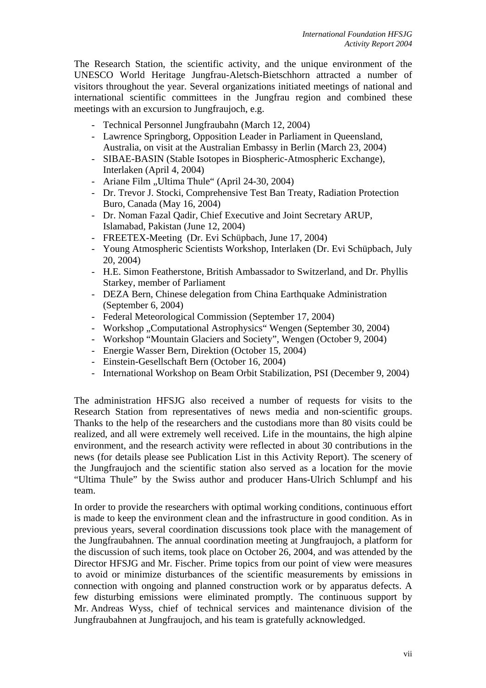The Research Station, the scientific activity, and the unique environment of the UNESCO World Heritage Jungfrau-Aletsch-Bietschhorn attracted a number of visitors throughout the year. Several organizations initiated meetings of national and international scientific committees in the Jungfrau region and combined these meetings with an excursion to Jungfraujoch, e.g.

- Technical Personnel Jungfraubahn (March 12, 2004)
- Lawrence Springborg, Opposition Leader in Parliament in Queensland, Australia, on visit at the Australian Embassy in Berlin (March 23, 2004)
- SIBAE-BASIN (Stable Isotopes in Biospheric-Atmospheric Exchange), Interlaken (April 4, 2004)
- Ariane Film "Ultima Thule" (April 24-30, 2004)
- Dr. Trevor J. Stocki, Comprehensive Test Ban Treaty, Radiation Protection Buro, Canada (May 16, 2004)
- Dr. Noman Fazal Qadir, Chief Executive and Joint Secretary ARUP, Islamabad, Pakistan (June 12, 2004)
- FREETEX-Meeting (Dr. Evi Schüpbach, June 17, 2004)
- Young Atmospheric Scientists Workshop, Interlaken (Dr. Evi Schüpbach, July 20, 2004)
- H.E. Simon Featherstone, British Ambassador to Switzerland, and Dr. Phyllis Starkey, member of Parliament
- DEZA Bern, Chinese delegation from China Earthquake Administration (September 6, 2004)
- Federal Meteorological Commission (September 17, 2004)
- Workshop "Computational Astrophysics" Wengen (September 30, 2004)
- Workshop "Mountain Glaciers and Society", Wengen (October 9, 2004)
- Energie Wasser Bern, Direktion (October 15, 2004)
- Einstein-Gesellschaft Bern (October 16, 2004)
- International Workshop on Beam Orbit Stabilization, PSI (December 9, 2004)

The administration HFSJG also received a number of requests for visits to the Research Station from representatives of news media and non-scientific groups. Thanks to the help of the researchers and the custodians more than 80 visits could be realized, and all were extremely well received. Life in the mountains, the high alpine environment, and the research activity were reflected in about 30 contributions in the news (for details please see Publication List in this Activity Report). The scenery of the Jungfraujoch and the scientific station also served as a location for the movie "Ultima Thule" by the Swiss author and producer Hans-Ulrich Schlumpf and his team.

In order to provide the researchers with optimal working conditions, continuous effort is made to keep the environment clean and the infrastructure in good condition. As in previous years, several coordination discussions took place with the management of the Jungfraubahnen. The annual coordination meeting at Jungfraujoch, a platform for the discussion of such items, took place on October 26, 2004, and was attended by the Director HFSJG and Mr. Fischer. Prime topics from our point of view were measures to avoid or minimize disturbances of the scientific measurements by emissions in connection with ongoing and planned construction work or by apparatus defects. A few disturbing emissions were eliminated promptly. The continuous support by Mr. Andreas Wyss, chief of technical services and maintenance division of the Jungfraubahnen at Jungfraujoch, and his team is gratefully acknowledged.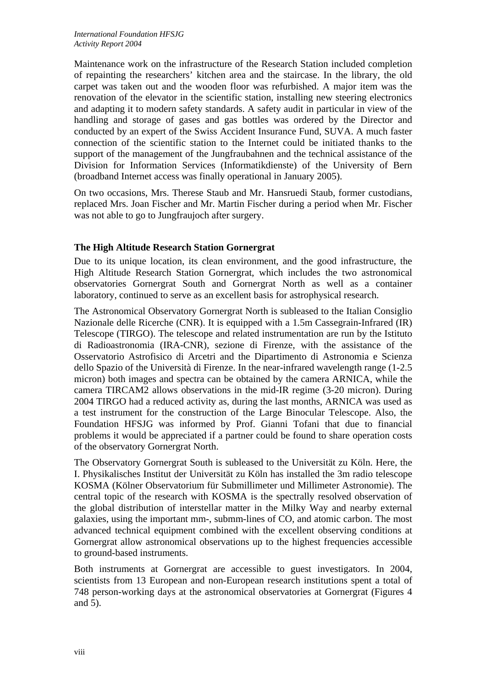Maintenance work on the infrastructure of the Research Station included completion of repainting the researchers' kitchen area and the staircase. In the library, the old carpet was taken out and the wooden floor was refurbished. A major item was the renovation of the elevator in the scientific station, installing new steering electronics and adapting it to modern safety standards. A safety audit in particular in view of the handling and storage of gases and gas bottles was ordered by the Director and conducted by an expert of the Swiss Accident Insurance Fund, SUVA. A much faster connection of the scientific station to the Internet could be initiated thanks to the support of the management of the Jungfraubahnen and the technical assistance of the Division for Information Services (Informatikdienste) of the University of Bern (broadband Internet access was finally operational in January 2005).

On two occasions, Mrs. Therese Staub and Mr. Hansruedi Staub, former custodians, replaced Mrs. Joan Fischer and Mr. Martin Fischer during a period when Mr. Fischer was not able to go to Jungfraujoch after surgery.

#### **The High Altitude Research Station Gornergrat**

Due to its unique location, its clean environment, and the good infrastructure, the High Altitude Research Station Gornergrat, which includes the two astronomical observatories Gornergrat South and Gornergrat North as well as a container laboratory, continued to serve as an excellent basis for astrophysical research.

The Astronomical Observatory Gornergrat North is subleased to the Italian Consiglio Nazionale delle Ricerche (CNR). It is equipped with a 1.5m Cassegrain-Infrared (IR) Telescope (TIRGO). The telescope and related instrumentation are run by the Istituto di Radioastronomia (IRA-[CNR](http://www.arcetri.astro.it/irlab/cnr/cnr.html)), sezione di Firenze, with the assistance of the [Osservatorio Astrofisico di Arcetri](http://www.arcetri.astro.it/) and the [Dipartimento di Astronomia e Scienza](http://www.arcetri.astro.it/Dipartimento)  [dello Spazio](http://www.arcetri.astro.it/Dipartimento) of the [Università di Firenze](http://www.unifi.it/). In the near-infrared wavelength range (1-2.5 micron) both images and spectra can be obtained by the camera ARNICA, while the camera TIRCAM2 allows observations in the mid-IR regime (3-20 micron). During 2004 TIRGO had a reduced activity as, during the last months, ARNICA was used as a test instrument for the construction of the Large Binocular Telescope. Also, the Foundation HFSJG was informed by Prof. Gianni Tofani that due to financial problems it would be appreciated if a partner could be found to share operation costs of the observatory Gornergrat North.

The Observatory Gornergrat South is subleased to the Universität zu Köln. Here, the I. Physikalisches Institut der Universität zu Köln has installed the 3m radio telescope KOSMA (Kölner Observatorium für Submillimeter und Millimeter Astronomie). The central topic of the research with KOSMA is the spectrally resolved observation of the global distribution of interstellar matter in the Milky Way and nearby external galaxies, using the important mm-, submm-lines of CO, and atomic carbon. The most advanced technical equipment combined with the excellent observing conditions at Gornergrat allow astronomical observations up to the highest frequencies accessible to ground-based instruments.

Both instruments at Gornergrat are accessible to guest investigators. In 2004, scientists from 13 European and non-European research institutions spent a total of 748 person-working days at the astronomical observatories at Gornergrat (Figures 4 and 5).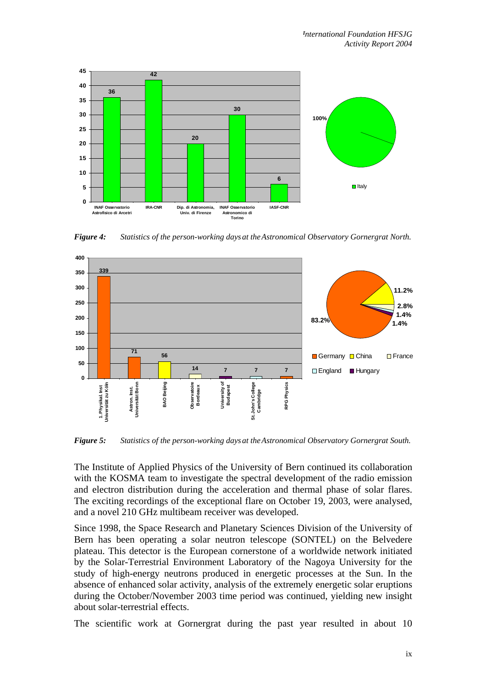

*Figure 4: Statistics of the person-working days at the Astronomical Observatory Gornergrat North.* 



*Figure 5: Statistics of the person-working days at the Astronomical Observatory Gornergrat South.* 

The Institute of Applied Physics of the University of Bern continued its collaboration with the KOSMA team to investigate the spectral development of the radio emission and electron distribution during the acceleration and thermal phase of solar flares. The exciting recordings of the exceptional flare on October 19, 2003, were analysed, and a novel 210 GHz multibeam receiver was developed.

Since 1998, the Space Research and Planetary Sciences Division of the University of Bern has been operating a solar neutron telescope (SONTEL) on the Belvedere plateau. This detector is the European cornerstone of a worldwide network initiated by the Solar-Terrestrial Environment Laboratory of the Nagoya University for the study of high-energy neutrons produced in energetic processes at the Sun. In the absence of enhanced solar activity, analysis of the extremely energetic solar eruptions during the October/November 2003 time period was continued, yielding new insight about solar-terrestrial effects.

The scientific work at Gornergrat during the past year resulted in about 10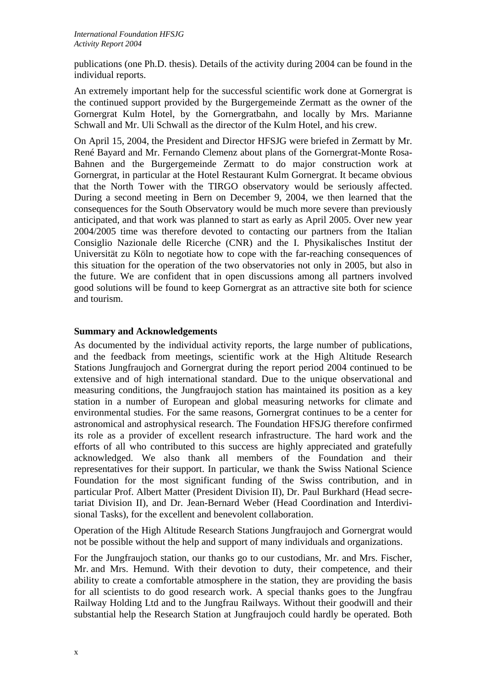publications (one Ph.D. thesis). Details of the activity during 2004 can be found in the individual reports.

An extremely important help for the successful scientific work done at Gornergrat is the continued support provided by the Burgergemeinde Zermatt as the owner of the Gornergrat Kulm Hotel, by the Gornergratbahn, and locally by Mrs. Marianne Schwall and Mr. Uli Schwall as the director of the Kulm Hotel, and his crew.

On April 15, 2004, the President and Director HFSJG were briefed in Zermatt by Mr. René Bayard and Mr. Fernando Clemenz about plans of the Gornergrat-Monte Rosa-Bahnen and the Burgergemeinde Zermatt to do major construction work at Gornergrat, in particular at the Hotel Restaurant Kulm Gornergrat. It became obvious that the North Tower with the TIRGO observatory would be seriously affected. During a second meeting in Bern on December 9, 2004, we then learned that the consequences for the South Observatory would be much more severe than previously anticipated, and that work was planned to start as early as April 2005. Over new year 2004/2005 time was therefore devoted to contacting our partners from the Italian Consiglio Nazionale delle Ricerche (CNR) and the I. Physikalisches Institut der Universität zu Köln to negotiate how to cope with the far-reaching consequences of this situation for the operation of the two observatories not only in 2005, but also in the future. We are confident that in open discussions among all partners involved good solutions will be found to keep Gornergrat as an attractive site both for science and tourism.

#### **Summary and Acknowledgements**

As documented by the individual activity reports, the large number of publications, and the feedback from meetings, scientific work at the High Altitude Research Stations Jungfraujoch and Gornergrat during the report period 2004 continued to be extensive and of high international standard. Due to the unique observational and measuring conditions, the Jungfraujoch station has maintained its position as a key station in a number of European and global measuring networks for climate and environmental studies. For the same reasons, Gornergrat continues to be a center for astronomical and astrophysical research. The Foundation HFSJG therefore confirmed its role as a provider of excellent research infrastructure. The hard work and the efforts of all who contributed to this success are highly appreciated and gratefully acknowledged. We also thank all members of the Foundation and their representatives for their support. In particular, we thank the Swiss National Science Foundation for the most significant funding of the Swiss contribution, and in particular Prof. Albert Matter (President Division II), [Dr. Paul Burkhard](mailto:pburkhard@snf.ch) (Head secretariat Division II), and [Dr. Jean-Bernard Weber](mailto:jbweber@snf.ch) (Head Coordination and Interdivisional Tasks), for the excellent and benevolent collaboration.

Operation of the High Altitude Research Stations Jungfraujoch and Gornergrat would not be possible without the help and support of many individuals and organizations.

For the Jungfraujoch station, our thanks go to our custodians, Mr. and Mrs. Fischer, Mr. and Mrs. Hemund. With their devotion to duty, their competence, and their ability to create a comfortable atmosphere in the station, they are providing the basis for all scientists to do good research work. A special thanks goes to the Jungfrau Railway Holding Ltd and to the Jungfrau Railways. Without their goodwill and their substantial help the Research Station at Jungfraujoch could hardly be operated. Both